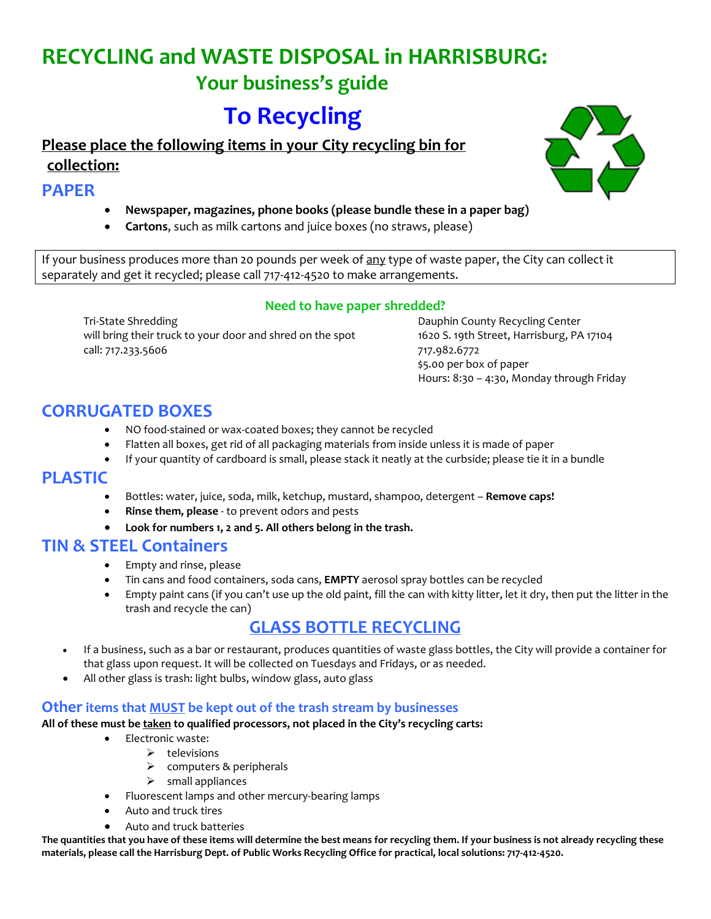# **RECYCLING and WASTE DISPOSAL in HARRISBURG:**

# **Your business's guide**

# **To Recycling**

**Please place the following items in your City recycling bin for collection:**

## **PAPER**

- **Newspaper, magazines, phone books (please bundle these in a paper bag)**
- **Cartons**, such as milk cartons and juice boxes (no straws, please)

If your business produces more than 20 pounds per week of any type of waste paper, the City can collect it separately and get it recycled; please call 717-412-4520 to make arrangements.

#### **Need to have paper shredded?**

Tri-State Shredding Dauphin County Recycling Center will bring their truck to your door and shred on the spot 1620 S. 19th Street, Harrisburg, PA 17104 call: 717.233.5606 717.982.6772

\$5.00 per box of paper Hours: 8:30 – 4:30, Monday through Friday

## **CORRUGATED BOXES**

- NO food-stained or wax-coated boxes; they cannot be recycled
- Flatten all boxes, get rid of all packaging materials from inside unless it is made of paper
- If your quantity of cardboard is small, please stack it neatly at the curbside; please tie it in a bundle

## **PLASTIC**

- Bottles: water, juice, soda, milk, ketchup, mustard, shampoo, detergent **Remove caps!**
- **Rinse them, please** to prevent odors and pests
- **Look for numbers 1, 2 and 5. All others belong in the trash.**

## **TIN & STEEL Containers**

- Empty and rinse, please
- Tin cans and food containers, soda cans, **EMPTY** aerosol spray bottles can be recycled
- Empty paint cans (if you can't use up the old paint, fill the can with kitty litter, let it dry, then put the litter in the trash and recycle the can)

# **GLASS BOTTLE RECYCLING**

- If a business, such as a bar or restaurant, produces quantities of waste glass bottles, the City will provide a container for that glass upon request. It will be collected on Tuesdays and Fridays, or as needed.
- All other glass is trash: light bulbs, window glass, auto glass

#### **Other items that MUST be kept out of the trash stream by businesses**

#### **All of these must be taken to qualified processors, not placed in the City's recycling carts:**

- Electronic waste:
	- $\triangleright$  televisions
	- $\triangleright$  computers & peripherals
	- $\triangleright$  small appliances
- Fluorescent lamps and other mercury-bearing lamps
- Auto and truck tires
- Auto and truck batteries

**The quantities that you have of these items will determine the best means for recycling them. If your business is not already recycling these materials, please call the Harrisburg Dept. of Public Works Recycling Office for practical, local solutions: 717-412-4520.**

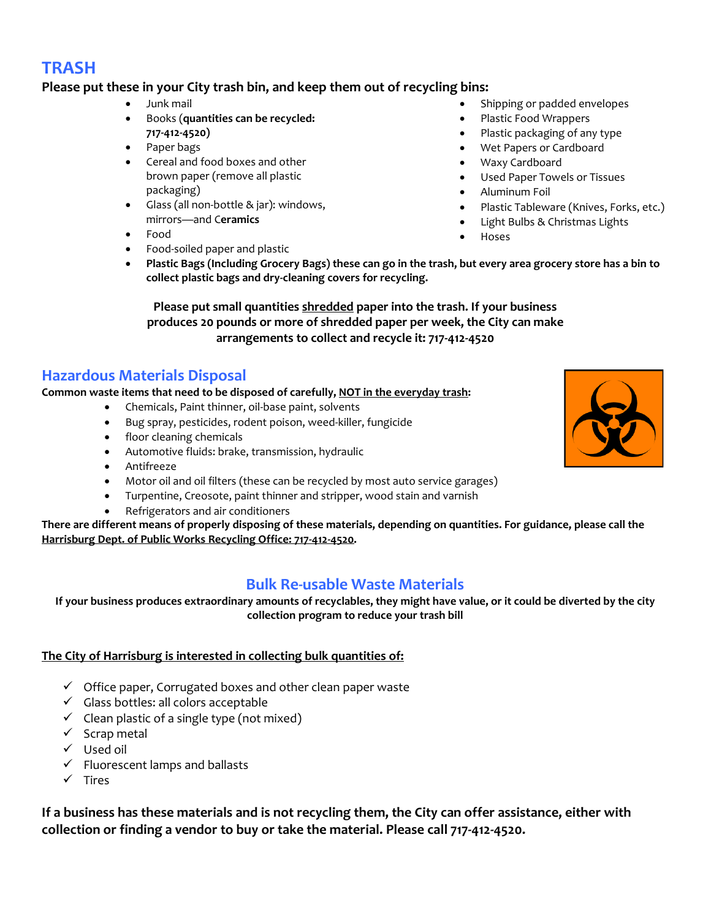## **TRASH**

#### **Please put these in your City trash bin, and keep them out of recycling bins:**

- Junk mail
- Books (**quantities can be recycled: 717-412-4520)**
- Paper bags
- Cereal and food boxes and other brown paper (remove all plastic packaging)
- Glass (all non-bottle & jar): windows, mirrors—and C**eramics**
- Food
- Food-soiled paper and plastic
- **Plastic Bags (Including Grocery Bags) these can go in the trash, but every area grocery store has a bin to collect plastic bags and dry-cleaning covers for recycling.**

**Please put small quantities shredded paper into the trash. If your business produces 20 pounds or more of shredded paper per week, the City can make arrangements to collect and recycle it: 717-412-4520**

### **Hazardous Materials Disposal**

#### **Common waste items that need to be disposed of carefully, NOT in the everyday trash:**

- Chemicals, Paint thinner, oil-base paint, solvents
- Bug spray, pesticides, rodent poison, weed-killer, fungicide
- floor cleaning chemicals
- Automotive fluids: brake, transmission, hydraulic
- Antifreeze
- Motor oil and oil filters (these can be recycled by most auto service garages)
- Turpentine, Creosote, paint thinner and stripper, wood stain and varnish
- Refrigerators and air conditioners

**There are different means of properly disposing of these materials, depending on quantities. For guidance, please call the Harrisburg Dept. of Public Works Recycling Office: 717-412-4520.** 

## **Bulk Re-usable Waste Materials**

**If your business produces extraordinary amounts of recyclables, they might have value, or it could be diverted by the city collection program to reduce your trash bill** 

#### **The City of Harrisburg is interested in collecting bulk quantities of:**

- $\checkmark$  Office paper, Corrugated boxes and other clean paper waste
- $\checkmark$  Glass bottles: all colors acceptable
- $\checkmark$  Clean plastic of a single type (not mixed)
- $\checkmark$  Scrap metal
- $\checkmark$  Used oil
- $\checkmark$  Fluorescent lamps and ballasts
- $\checkmark$  Tires

**If a business has these materials and is not recycling them, the City can offer assistance, either with collection or finding a vendor to buy or take the material. Please call 717-412-4520.**

- Shipping or padded envelopes
- Plastic Food Wrappers
- Plastic packaging of any type
- Wet Papers or Cardboard
- Waxy Cardboard
- Used Paper Towels or Tissues
- Aluminum Foil
- Plastic Tableware (Knives, Forks, etc.)
- Light Bulbs & Christmas Lights
- Hoses